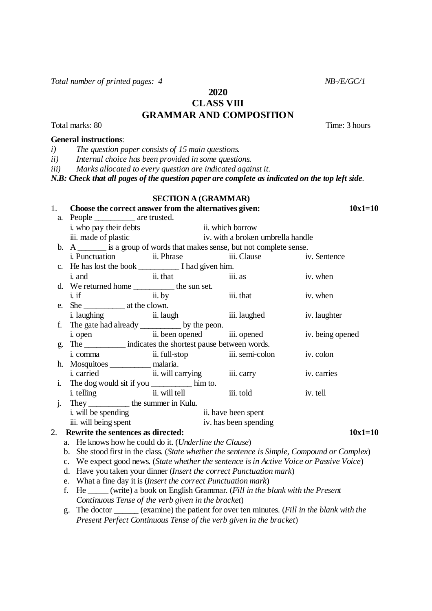Total number of printed pages: 4 NB-/E/GC/1

**2020 CLASS VIII GRAMMAR AND COMPOSITION**

Total marks: 80 Time: 3 hours

### **General instructions**:

*i) The question paper consists of 15 main questions.*

*ii) Internal choice has been provided in some questions*.

*iii) Marks allocated to every question are indicated against it.*

*N.B: Check that all pages of the question paper are complete as indicated on the top left side*.

## **SECTION A (GRAMMAR)**

| 1.                                                                                       | Choose the correct answer from the alternatives given:                                                                                              |                                     |                                                                             |                                                                              |                                                                                              | $10x1=10$ |  |
|------------------------------------------------------------------------------------------|-----------------------------------------------------------------------------------------------------------------------------------------------------|-------------------------------------|-----------------------------------------------------------------------------|------------------------------------------------------------------------------|----------------------------------------------------------------------------------------------|-----------|--|
|                                                                                          |                                                                                                                                                     | a. People ____________ are trusted. |                                                                             |                                                                              |                                                                                              |           |  |
|                                                                                          | i. who pay their debts                                                                                                                              | ii. which borrow                    |                                                                             |                                                                              |                                                                                              |           |  |
|                                                                                          | iii. made of plastic                                                                                                                                | iv. with a broken umbrella handle   |                                                                             |                                                                              |                                                                                              |           |  |
|                                                                                          |                                                                                                                                                     |                                     | b. A ________ is a group of words that makes sense, but not complete sense. |                                                                              |                                                                                              |           |  |
|                                                                                          |                                                                                                                                                     | i. Punctuation ii. Phrase           |                                                                             |                                                                              | iii. Clause iv. Sentence                                                                     |           |  |
|                                                                                          |                                                                                                                                                     |                                     |                                                                             |                                                                              |                                                                                              |           |  |
|                                                                                          | <i>i.</i> and                                                                                                                                       | $\ddot{\mathbf{i}}$ ii. that        |                                                                             | iii. as                                                                      | iv. when                                                                                     |           |  |
| d. We returned home $\frac{1}{\text{ii. by}}$ the sun set.                               |                                                                                                                                                     |                                     |                                                                             |                                                                              |                                                                                              |           |  |
|                                                                                          |                                                                                                                                                     |                                     |                                                                             | iii. that                                                                    | iv. when                                                                                     |           |  |
|                                                                                          |                                                                                                                                                     |                                     |                                                                             |                                                                              |                                                                                              |           |  |
|                                                                                          |                                                                                                                                                     |                                     |                                                                             | i. laughing ii. laugh iii. laughed iv. laughter                              |                                                                                              |           |  |
| The gate had already ____________ by the peon.<br>f.                                     |                                                                                                                                                     |                                     |                                                                             |                                                                              |                                                                                              |           |  |
|                                                                                          |                                                                                                                                                     |                                     |                                                                             | i. open ii. been opened iii. opened                                          | iv. being opened                                                                             |           |  |
| The indicates the shortest pause between words.<br>g.                                    |                                                                                                                                                     |                                     |                                                                             |                                                                              |                                                                                              |           |  |
|                                                                                          |                                                                                                                                                     |                                     |                                                                             | i. comma ii. full-stop iii. semi-colon iv. colon                             |                                                                                              |           |  |
|                                                                                          | h. Mosquitoes _________ malaria.                                                                                                                    |                                     |                                                                             |                                                                              |                                                                                              |           |  |
|                                                                                          |                                                                                                                                                     |                                     |                                                                             | i. carried ii. will carrying iii. carry                                      | iv. carries                                                                                  |           |  |
| $\mathbf{i}$ .                                                                           | The dog would sit if you ____________ him to.                                                                                                       |                                     |                                                                             |                                                                              |                                                                                              |           |  |
|                                                                                          |                                                                                                                                                     |                                     |                                                                             | i. telling ii. will tell iii. told<br>They _____________ the summer in Kulu. | iv. tell                                                                                     |           |  |
| j.                                                                                       |                                                                                                                                                     |                                     |                                                                             |                                                                              |                                                                                              |           |  |
|                                                                                          | i. will be spending<br>ii. will being spent<br>iv. has been spending                                                                                |                                     |                                                                             |                                                                              |                                                                                              |           |  |
|                                                                                          |                                                                                                                                                     |                                     |                                                                             |                                                                              | $10x1=10$                                                                                    |           |  |
| Rewrite the sentences as directed:<br>2.                                                 |                                                                                                                                                     |                                     |                                                                             |                                                                              |                                                                                              |           |  |
| a. He knows how he could do it. (Underline the Clause)                                   |                                                                                                                                                     |                                     |                                                                             |                                                                              |                                                                                              |           |  |
|                                                                                          |                                                                                                                                                     |                                     |                                                                             |                                                                              | b. She stood first in the class. (State whether the sentence is Simple, Compound or Complex) |           |  |
| c. We expect good news. (State whether the sentence is in Active Voice or Passive Voice) |                                                                                                                                                     |                                     |                                                                             |                                                                              |                                                                                              |           |  |
| d. Have you taken your dinner (Insert the correct Punctuation mark)                      |                                                                                                                                                     |                                     |                                                                             |                                                                              |                                                                                              |           |  |
|                                                                                          | e. What a fine day it is (Insert the correct Punctuation mark)<br>f. He _____(write) a book on English Grammar. (Fill in the blank with the Present |                                     |                                                                             |                                                                              |                                                                                              |           |  |
|                                                                                          |                                                                                                                                                     |                                     |                                                                             |                                                                              |                                                                                              |           |  |
| Continuous Tense of the verb given in the bracket)                                       |                                                                                                                                                     |                                     |                                                                             |                                                                              |                                                                                              |           |  |
|                                                                                          | g. The doctor _____ (examine) the patient for over ten minutes. (Fill in the blank with the                                                         |                                     |                                                                             |                                                                              |                                                                                              |           |  |

*Present Perfect Continuous Tense of the verb given in the bracket*)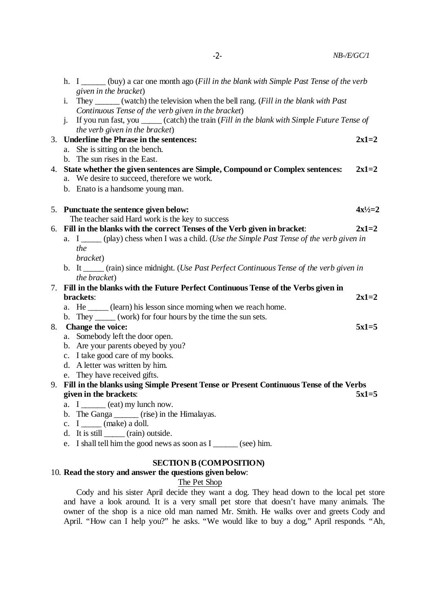|    | h. I ______ (buy) a car one month ago ( <i>Fill in the blank with Simple Past Tense of the verb</i>                         |              |
|----|-----------------------------------------------------------------------------------------------------------------------------|--------------|
|    | given in the bracket)                                                                                                       |              |
|    | They _______ (watch) the television when the bell rang. (Fill in the blank with Past<br>i.                                  |              |
|    | Continuous Tense of the verb given in the bracket)                                                                          |              |
|    | If you run fast, you _____ (catch) the train (Fill in the blank with Simple Future Tense of<br>$\mathbf{i}$ .               |              |
|    | the verb given in the bracket)                                                                                              |              |
|    | 3. Underline the Phrase in the sentences:                                                                                   | $2x1=2$      |
|    | a. She is sitting on the bench.                                                                                             |              |
|    | b. The sun rises in the East.                                                                                               |              |
| 4. | State whether the given sentences are Simple, Compound or Complex sentences:<br>a. We desire to succeed, therefore we work. | $2x1=2$      |
|    | b. Enato is a handsome young man.                                                                                           |              |
|    |                                                                                                                             |              |
|    | 5. Punctuate the sentence given below:                                                                                      | $4x^{1/2}=2$ |
|    | The teacher said Hard work is the key to success                                                                            |              |
|    | 6. Fill in the blanks with the correct Tenses of the Verb given in bracket:                                                 | $2x1=2$      |
|    | a. I _____ (play) chess when I was a child. (Use the Simple Past Tense of the verb given in                                 |              |
|    | the                                                                                                                         |              |
|    | bracket)                                                                                                                    |              |
|    | b. It _____ (rain) since midnight. (Use Past Perfect Continuous Tense of the verb given in                                  |              |
|    | the bracket)                                                                                                                |              |
| 7. | Fill in the blanks with the Future Perfect Continuous Tense of the Verbs given in                                           |              |
|    | brackets:                                                                                                                   | $2x1=2$      |
|    | a. He ______ (learn) his lesson since morning when we reach home.                                                           |              |
|    | b. They ______ (work) for four hours by the time the sun sets.                                                              |              |
| 8. | Change the voice:                                                                                                           | $5x1=5$      |
|    | a. Somebody left the door open.                                                                                             |              |
|    | b. Are your parents obeyed by you?<br>c. I take good care of my books.                                                      |              |
|    | d. A letter was written by him.                                                                                             |              |
|    | e. They have received gifts.                                                                                                |              |
| 9. | Fill in the blanks using Simple Present Tense or Present Continuous Tense of the Verbs                                      |              |
|    | given in the brackets:                                                                                                      | $5x1=5$      |
|    | a. I $\qquad$ (eat) my lunch now.                                                                                           |              |
|    | b. The Ganga ______ (rise) in the Himalayas.                                                                                |              |
|    | c. $I_{\text{max}}$ (make) a doll.                                                                                          |              |
|    | d. It is still $\_\_\_\_$ (rain) outside.                                                                                   |              |
|    | e. I shall tell him the good news as soon as $I_{\text{max}}$ (see) him.                                                    |              |
|    |                                                                                                                             |              |

-2- *NB-/E/GC/1*

## **SECTION B (COMPOSITION)**

## 10. **Read the story and answer the questions given below**:

# The Pet Shop

Cody and his sister April decide they want a dog. They head down to the local pet store and have a look around. It is a very small pet store that doesn't have many animals. The owner of the shop is a nice old man named Mr. Smith. He walks over and greets Cody and April. "How can I help you?" he asks. "We would like to buy a dog," April responds. "Ah,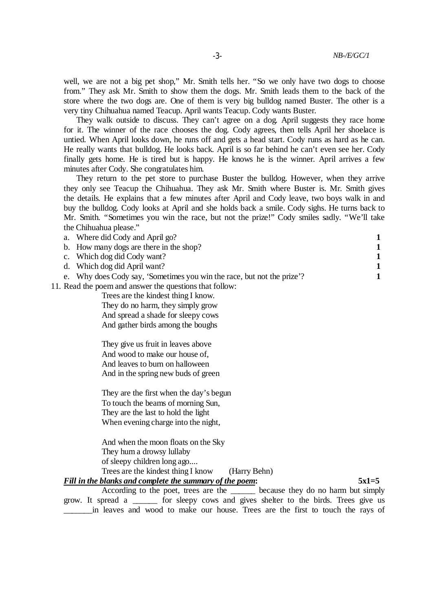well, we are not a big pet shop," Mr. Smith tells her. "So we only have two dogs to choose from." They ask Mr. Smith to show them the dogs. Mr. Smith leads them to the back of the store where the two dogs are. One of them is very big bulldog named Buster. The other is a very tiny Chihuahua named Teacup. April wants Teacup. Cody wants Buster.

They walk outside to discuss. They can't agree on a dog. April suggests they race home for it. The winner of the race chooses the dog. Cody agrees, then tells April her shoelace is untied. When April looks down, he runs off and gets a head start. Cody runs as hard as he can. He really wants that bulldog. He looks back. April is so far behind he can't even see her. Cody finally gets home. He is tired but is happy. He knows he is the winner. April arrives a few minutes after Cody. She congratulates him.

They return to the pet store to purchase Buster the bulldog. However, when they arrive they only see Teacup the Chihuahua. They ask Mr. Smith where Buster is. Mr. Smith gives the details. He explains that a few minutes after April and Cody leave, two boys walk in and buy the bulldog. Cody looks at April and she holds back a smile. Cody sighs. He turns back to Mr. Smith. "Sometimes you win the race, but not the prize!" Cody smiles sadly. "We'll take the Chihuahua please."

| Trees are the kindest thing I know. |                                                                                                                                                                                                                                                                                |
|-------------------------------------|--------------------------------------------------------------------------------------------------------------------------------------------------------------------------------------------------------------------------------------------------------------------------------|
|                                     | a. Where did Cody and April go?<br>b. How many dogs are there in the shop?<br>c. Which dog did Cody want?<br>d. Which dog did April want?<br>e. Why does Cody say, 'Sometimes you win the race, but not the prize'?<br>11. Read the poem and answer the questions that follow: |

They do no harm, they simply grow And spread a shade for sleepy cows And gather birds among the boughs

They give us fruit in leaves above And wood to make our house of, And leaves to burn on halloween And in the spring new buds of green

They are the first when the day's begun To touch the beams of morning Sun, They are the last to hold the light When evening charge into the night,

And when the moon floats on the Sky They hum a drowsy lullaby of sleepy children long ago.... Trees are the kindest thing I know (Harry Behn)

*Fill in the blanks and complete the summary of the poem***: 5x1=5**

According to the poet, trees are the because they do no harm but simply grow. It spread a \_\_\_\_\_\_ for sleepy cows and gives shelter to the birds. Trees give us \_\_\_\_\_\_\_in leaves and wood to make our house. Trees are the first to touch the rays of